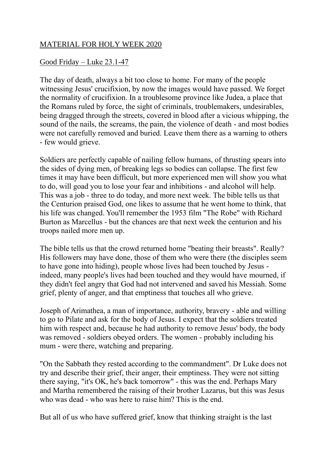## MATERIAL FOR HOLY WEEK 2020

## Good Friday – Luke 23.1-47

The day of death, always a bit too close to home. For many of the people witnessing Jesus' crucifixion, by now the images would have passed. We forget the normality of crucifixion. In a troublesome province like Judea, a place that the Romans ruled by force, the sight of criminals, troublemakers, undesirables, being dragged through the streets, covered in blood after a vicious whipping, the sound of the nails, the screams, the pain, the violence of death - and most bodies were not carefully removed and buried. Leave them there as a warning to others - few would grieve.

Soldiers are perfectly capable of nailing fellow humans, of thrusting spears into the sides of dying men, of breaking legs so bodies can collapse. The first few times it may have been difficult, but more experienced men will show you what to do, will goad you to lose your fear and inhibitions - and alcohol will help. This was a job - three to do today, and more next week. The bible tells us that the Centurion praised God, one likes to assume that he went home to think, that his life was changed. You'll remember the 1953 film "The Robe" with Richard Burton as Marcellus - but the chances are that next week the centurion and his troops nailed more men up.

The bible tells us that the crowd returned home "beating their breasts". Really? His followers may have done, those of them who were there (the disciples seem to have gone into hiding), people whose lives had been touched by Jesus indeed, many people's lives had been touched and they would have mourned, if they didn't feel angry that God had not intervened and saved his Messiah. Some grief, plenty of anger, and that emptiness that touches all who grieve.

Joseph of Arimathea, a man of importance, authority, bravery - able and willing to go to Pilate and ask for the body of Jesus. I expect that the soldiers treated him with respect and, because he had authority to remove Jesus' body, the body was removed - soldiers obeyed orders. The women - probably including his mum - were there, watching and preparing.

"On the Sabbath they rested according to the commandment". Dr Luke does not try and describe their grief, their anger, their emptiness. They were not sitting there saying, "it's OK, he's back tomorrow" - this was the end. Perhaps Mary and Martha remembered the raising of their brother Lazarus, but this was Jesus who was dead - who was here to raise him? This is the end.

But all of us who have suffered grief, know that thinking straight is the last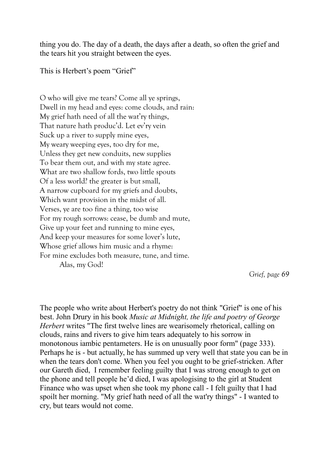thing you do. The day of a death, the days after a death, so often the grief and the tears hit you straight between the eyes.

This is Herbert's poem "Grief"

O who will give me tears? Come all ye springs, Dwell in my head and eyes: come clouds, and rain: My grief hath need of all the wat'ry things, That nature hath produc'd. Let ev'ry vein Suck up a river to supply mine eyes, My weary weeping eyes, too dry for me, Unless they get new conduits, new supplies To bear them out, and with my state agree. What are two shallow fords, two little spouts Of a less world? the greater is but small, A narrow cupboard for my griefs and doubts, Which want provision in the midst of all. Verses, ye are too fine a thing, too wise For my rough sorrows: cease, be dumb and mute, Give up your feet and running to mine eyes, And keep your measures for some lover's lute, Whose grief allows him music and a rhyme: For mine excludes both measure, tune, and time. Alas, my God!

*Grief, page 69*

The people who write about Herbert's poetry do not think "Grief" is one of his best. John Drury in his book *Music at Midnight, the life and poetry of George Herbert* writes "The first twelve lines are wearisomely rhetorical, calling on clouds, rains and rivers to give him tears adequately to his sorrow in monotonous iambic pentameters. He is on unusually poor form" (page 333). Perhaps he is - but actually, he has summed up very well that state you can be in when the tears don't come. When you feel you ought to be grief-stricken. After our Gareth died, I remember feeling guilty that I was strong enough to get on the phone and tell people he'd died, I was apologising to the girl at Student Finance who was upset when she took my phone call - I felt guilty that I had spoilt her morning. "My grief hath need of all the wat'ry things" - I wanted to cry, but tears would not come.